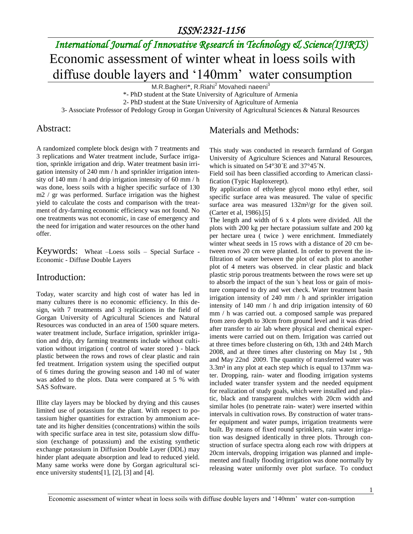# *International Journal of Innovative Research in Technology & Science(IJIRTS)* Economic assessment of winter wheat in loess soils with diffuse double layers and '140mm' water consumption

M.R.Bagheri\*, R.Riahi<sup>2</sup> Movahedi naeeni<sup>3</sup>

\*- PhD student at the State University of Agriculture of Armenia

2- PhD student at the State University of Agriculture of Armenia

3- Associate Professor of Pedology Group in Gorgan University of Agricultural Sciences & Natural Resources

#### Abstract:

A randomized complete block design with 7 treatments and 3 replications and Water treatment include, Surface irrigation, sprinkle irrigation and drip. Water treatment basin irrigation intensity of 240 mm / h and sprinkler irrigation intensity of 140 mm / h and drip irrigation intensity of 60 mm / h was done, loess soils with a higher specific surface of 130 m2 / gr was performed. Surface irrigation was the highest yield to calculate the costs and comparison with the treatment of dry-farming economic efficiency was not found. No one treatments was not economic, in case of emergency and the need for irrigation and water resources on the other hand offer.

Keywords: Wheat –Loess soils – Special Surface - Economic - Diffuse Double Layers

#### Introduction:

Today, water scarcity and high cost of water has led in many cultures there is no economic efficiency. In this design, with 7 treatments and 3 replications in the field of Gorgan University of Agricultural Sciences and Natural Resources was conducted in an area of 1500 square meters. water treatment include, Surface irrigation, sprinkler irrigation and drip, dry farming treatments include without cultivation without irrigation ( control of water stored ) - black plastic between the rows and rows of clear plastic and rain fed treatment. Irrigation system using the specified output of 6 times during the growing season and 140 ml of water was added to the plots. Data were compared at 5 % with SAS Software.

Illite clay layers may be blocked by drying and this causes limited use of potassium for the plant. With respect to potassium higher quantities for extraction by ammonium acetate and its higher densities (concentrations) within the soils with specific surface area in test site, potassium slow diffusion (exchange of potassium) and the existing synthetic exchange potassium in Diffusion Double Layer (DDL) may hinder plant adequate absorption and lead to reduced yield. Many same works were done by Gorgan agricultural science university students[1], [2], [3] and [4].

#### Materials and Methods:

This study was conducted in research farmland of Gorgan University of Agriculture Sciences and Natural Resources, which is situated on 54°30<sup> $\text{E}$ </sup> and 37°45<sup> $\text{N}$ .</sup>

Field soil has been classified according to American classification (Typic Haploxerept).

By application of ethylene glycol mono ethyl ether, soil specific surface area was measured. The value of specific surface area was measured 132m<sup>2</sup>/gr for the given soil. (Carter et al, 1986).[5]

The length and width of 6 x 4 plots were divided. All the plots with 200 kg per hectare potassium sulfate and 200 kg per hectare urea ( twice ) were enrichment. Immediately winter wheat seeds in 15 rows with a distance of 20 cm between rows 20 cm were planted. In order to prevent the infiltration of water between the plot of each plot to another plot of 4 meters was observed. in clear plastic and black plastic strip porous treatments between the rows were set up to absorb the impact of the sun 's heat loss or gain of moisture compared to dry and wet check. Water treatment basin irrigation intensity of 240 mm / h and sprinkler irrigation intensity of 140 mm / h and drip irrigation intensity of 60 mm / h was carried out. a composed sample was prepared from zero depth to 30cm from ground level and it was dried after transfer to air lab where physical and chemical experiments were carried out on them. Irrigation was carried out at three times before clustering on 6th, 13th and 24th March 2008, and at three times after clustering on May 1st , 9th and May 22nd 2009. The quantity of transferred water was 3.3m<sup>3</sup> in any plot at each step which is equal to 137mm water. Dropping, rain- water and flooding irrigation systems included water transfer system and the needed equipment for realization of study goals, which were installed and plastic, black and transparent mulches with 20cm width and similar holes (to penetrate rain- water) were inserted within intervals in cultivation rows. By construction of water transfer equipment and water pumps, irrigation treatments were built. By means of fixed round sprinklers, rain water irrigation was designed identically in three plots. Through construction of surface spectra along each row with drippers at 20cm intervals, dropping irrigation was planned and implemented and finally flooding irrigation was done normally by releasing water uniformly over plot surface. To conduct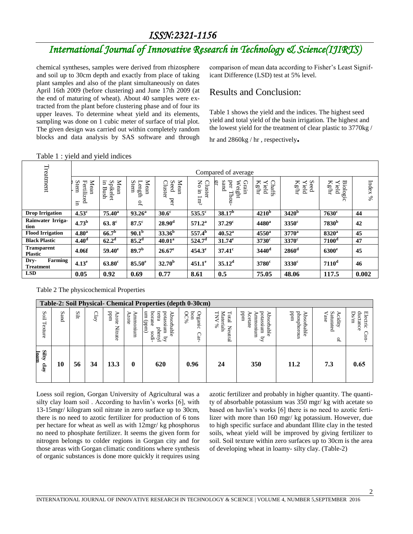### *ISSN:2321-1156*

## *International Journal of Innovative Research in Technology & Science(IJIRTS)*

chemical syntheses, samples were derived from rhizosphere and soil up to 30cm depth and exactly from place of taking plant samples and also of the plant simultaneously on dates April 16th 2009 (before clustering) and June 17th 2009 (at the end of maturing of wheat). About 40 samples were extracted from the plant before clustering phase and of four its upper leaves. To determine wheat yield and its elements, sampling was done on 1 cubic meter of surface of trial plot. The given design was carried out within completely random blocks and data analysis by SAS software and through

comparison of mean data according to Fisher's Least Significant Difference (LSD) test at 5% level.

#### Results and Conclusion:

Table 1 shows the yield and the indices. The highest seed yield and total yield of the basin irrigation. The highest and the lowest yield for the treatment of clear plastic to 3770kg /

hr and 2860kg / hr , respectively**.**

|                                      | $-0.000$ $-0.000$                |                                |                                                   |                                |                                   |                                              |                               |                              |                                        |         |  |  |  |  |
|--------------------------------------|----------------------------------|--------------------------------|---------------------------------------------------|--------------------------------|-----------------------------------|----------------------------------------------|-------------------------------|------------------------------|----------------------------------------|---------|--|--|--|--|
| Treatment                            |                                  | Compared of average            |                                                   |                                |                                   |                                              |                               |                              |                                        |         |  |  |  |  |
|                                      | Mean<br>Stem<br>Fertilized<br>Ξ. | Ξ.<br>Mean<br>Spikelet<br>Bush | Mean<br>Stem<br>Length<br>$\mathsf{D}_\mathsf{L}$ | Mean<br>Cluster<br>Seed<br>per | No in<br><b>Cluster</b><br>$1m^2$ | burs<br>per<br>Grain<br>ŗ<br>Weight<br>Thou- | $\rm Kg/m$<br>Chaffs<br>Yield | Seed<br>Yield<br>$\rm Kg/hr$ | $\rm Kg/m$<br><b>Biologic</b><br>Yield | Index % |  |  |  |  |
| <b>Drop Irrigation</b>               | $4.53^{\circ}$                   | $75.40^{\rm a}$                | $93.26^a$                                         | 30.6 <sup>c</sup>              | $535.5$ <sup>c</sup>              | $38.17^{\rm b}$                              | 4210 <sup>b</sup>             | 3420 <sup>b</sup>            | $7630$ c                               | 44      |  |  |  |  |
| Rainwater Irriga-<br>tion            | 4.73 <sup>b</sup>                | $63.8^{\circ}$                 | $87.5$ <sup>c</sup>                               | 28.90 <sup>d</sup>             | $571.2^{\rm a}$                   | 37.29 <sup>c</sup>                           | $4480^{\rm a}$                | $3350$ <sup>c</sup>          | 7830 <sup>b</sup>                      | 42      |  |  |  |  |
| <b>Flood Irrigation</b>              | 4.80 <sup>a</sup>                | $66.7^b$                       | 90.1 <sup>b</sup>                                 | $33.36^b$                      | $557.4^b$                         | $40.52^{\rm a}$                              | $4550^{\mathrm{a}}$           | $3770^a$                     | $8320^a$                               | 45      |  |  |  |  |
| <b>Black Plastic</b>                 | 4.40 <sup>d</sup>                | 62.2 <sup>d</sup>              | 85.2 <sup>d</sup>                                 | $40.01^a$                      | 524.7 <sup>d</sup>                | $31.74^e$                                    | $3730^{\circ}$                | $3370$ <sup>c</sup>          | 7100 <sup>d</sup>                      | 47      |  |  |  |  |
| <b>Transparent</b><br><b>Plastic</b> | 4.06f                            | $59.40^{\circ}$                | 89.7 <sup>b</sup>                                 | $26.67^e$                      | $454.3^e$                         | $37.41$ <sup>c</sup>                         | $3440$ <sup>d</sup>           | $2860$ <sup>d</sup>          | $6300^\mathrm{e}$                      | 45      |  |  |  |  |
| Farming<br>Dry-<br><b>Treatment</b>  | 4.13 <sup>e</sup>                | $63.80^\circ$                  | $85.50^\mathrm{e}$                                | $32.70^{\rm b}$                | $451.1^e$                         | $35.12^d$                                    | $3780^\circ$                  | $3330^{\circ}$               | 7110 <sup>d</sup>                      | 46      |  |  |  |  |
| <b>LSD</b>                           | 0.05                             | 0.92                           | 0.69                                              | 0.77                           | 8.61                              | 0.5                                          | 75.05                         | 48.06                        | 117.5                                  | 0.002   |  |  |  |  |

Table 1 : yield and yield indices

Table 2 The physicochemical Properties

|                       | Table-2: Soil Physical- Chemical Properties (depth 0-30cm) |      |     |                          |                  |                                                                                 |                                     |                                             |                                                              |                                   |                                           |                                        |
|-----------------------|------------------------------------------------------------|------|-----|--------------------------|------------------|---------------------------------------------------------------------------------|-------------------------------------|---------------------------------------------|--------------------------------------------------------------|-----------------------------------|-------------------------------------------|----------------------------------------|
| Soil<br>Texture       | Sand                                                       | Silt | C1a | uudd<br>Azote<br>Nitrate | Ammonium<br>20te | borane<br>potassium<br>tetra<br>(und) um<br>Absorbable<br>phenyl<br>sodi-<br>.द | pon<br>Organic<br><b>OC%</b><br>Car | Total New Materials<br>Materials<br>Neutral | potassium<br>uudd<br>Absorbable<br>Acetate<br>unnuouuu<br>्र | snououdsoud<br>uudd<br>Absorbable | Saturated<br>Acidity<br>Vase<br>$\vec{r}$ | Ds/m<br>$d$ uctance<br>Electric<br>Con |
| Silty<br>loam<br>clay | 10                                                         | 56   | 34  | 13.3                     | $\bf{0}$         | 620                                                                             | 0.96                                | 24                                          | 350                                                          | 11.2                              | 7.3                                       | 0.65                                   |

Loess soil region, Gorgan University of Agricultural was a silty clay loam soil . According to havlin's works [6], with 13-15mgr/ kilogram soil nitrate in zero surface up to 30cm, there is no need to azotic fertilizer for production of 6 tons per hectare for wheat as well as with 12mgr/ kg phosphorus no need to phosphate fertilizer. It seems the given form for nitrogen belongs to colder regions in Gorgan city and for those areas with Gorgan climatic conditions where synthesis of organic substances is done more quickly it requires using

azotic fertilizer and probably in higher quantity. The quantity of absorbable potassium was 350 mgr/ kg with acetate so based on havlin's works [6] there is no need to azotic fertilizer with more than 160 mgr/ kg potassium. However, due to high specific surface and abundant Illite clay in the tested soils, wheat yield will be improved by giving fertilizer to soil. Soil texture within zero surfaces up to 30cm is the area of developing wheat in loamy- silty clay. (Table-2)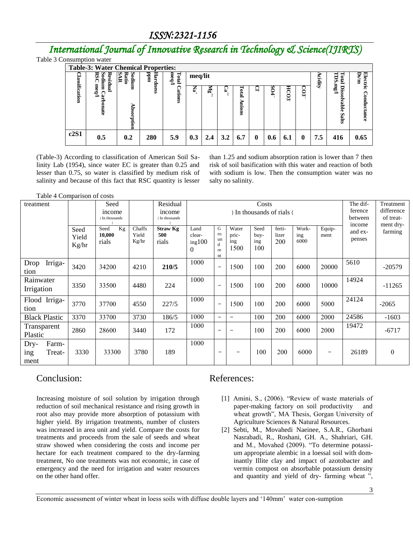### *ISSN:2321-1156*

## *International Journal of Innovative Research in Technology & Science(IJIRTS)*

Table 3 Consumption water

| <b>Table-3: Water Chemical Properties:</b> |                                       |                            |               |                |                           |     |     |                       |          |     |             |                         |                |                                             |                  |
|--------------------------------------------|---------------------------------------|----------------------------|---------------|----------------|---------------------------|-----|-----|-----------------------|----------|-----|-------------|-------------------------|----------------|---------------------------------------------|------------------|
|                                            | RS<br>Sodium<br>Residual              | Š.<br>Ratio<br>Sodium<br>₩ | ᇃ<br>Hardness | meq/l<br>Total | meq/lit                   |     |     |                       |          |     |             |                         | Ω.<br><b>E</b> | ms<br>┑<br><b>E</b>                         | Ds/m<br>Electric |
| <b>lassification</b>                       | $_{\text{med}}$<br>p<br>ð<br>š<br>āte | ⋗<br>hsorption             |               | ations         | $\mathbf{N}^{\mathbf{d}}$ | ã   | ₩   | Lotal<br>Ε.<br>٥<br>Ē | ⊻        | 804 | <b>HCO3</b> | $\overline{\mathbf{c}}$ |                | $\int 3u$<br>Diss<br>N<br>ă<br>U.<br>జ<br>ದ | Conductance      |
| c2S1                                       | 0.5                                   | 0.2                        | 280           | 5.9            | 0.3                       | 2.4 | 3.2 | 6.7                   | $\bf{0}$ | 0.6 | 6.1         | 0                       | 7.5            | 416                                         | 0.65             |

(Table-3) According to classification of American Soil Salinity Lab (1954), since water EC is greater than 0.25 and lesser than 0.75, so water is classified by medium risk of salinity and because of this fact that RSC quantity is lesser than 1.25 and sodium absorption ration is lower than 7 then risk of soil basification with this water and reaction of both with sodium is low. Then the consumption water was no salty no salinity.

Table 4 Comparison of costs

| treatment                              |                        | Seed<br>income<br>) In thousands | Residual<br>Costs<br>) In thousands of rials (<br>income<br>) In thousands |                                 |                               |                                |                               |                            |                        |                      | The dif-<br>ference<br>between | Treatment<br>difference<br>of treat-<br>ment dry- |          |
|----------------------------------------|------------------------|----------------------------------|----------------------------------------------------------------------------|---------------------------------|-------------------------------|--------------------------------|-------------------------------|----------------------------|------------------------|----------------------|--------------------------------|---------------------------------------------------|----------|
|                                        | Seed<br>Yield<br>Kg/hr | Kg<br>Seed<br>10,000<br>rials    | Chaffs<br>Yield<br>Kg/hr                                                   | <b>Straw Kg</b><br>500<br>rials | Land<br>clear-<br>ing100<br>0 | G<br>ro<br>un<br>d<br>re<br>nt | Water<br>pric-<br>ing<br>1500 | Seed<br>buy-<br>ing<br>100 | ferti-<br>lizer<br>200 | Work-<br>ing<br>6000 | Equip-<br>ment                 | income<br>and ex-<br>penses                       | farming  |
| Irriga-<br>Drop<br>tion                | 3420                   | 34200                            | 4210                                                                       | 210/5                           | 1000                          |                                | 1500                          | 100                        | 200                    | 6000                 | 20000                          | 5610                                              | $-20579$ |
| Rainwater<br>Irrigation                | 3350                   | 33500                            | 4480                                                                       | 224                             | 1000                          | $\qquad \qquad$                | 1500                          | 100                        | 200                    | 6000                 | 10000                          | 14924                                             | $-11265$ |
| Flood Irriga-<br>tion                  | 3770                   | 37700                            | 4550                                                                       | 227/5                           | 1000                          |                                | 1500                          | 100                        | 200                    | 6000                 | 5000                           | 24124                                             | $-2065$  |
| <b>Black Plastic</b>                   | 3370                   | 33700                            | 3730                                                                       | 186/5                           | 1000                          | $\qquad \qquad$                | $\qquad \qquad$               | 100                        | 200                    | 6000                 | 2000                           | 24586                                             | $-1603$  |
| Transparent<br>Plastic                 | 2860                   | 28600                            | 3440                                                                       | 172                             | 1000                          |                                |                               | 100                        | 200                    | 6000                 | 2000                           | 19472                                             | $-6717$  |
| Farm-<br>Dry-<br>Treat-<br>ing<br>ment | 3330                   | 33300                            | 3780                                                                       | 189                             | 1000                          |                                |                               | 100                        | 200                    | 6000                 | $\qquad \qquad$                | 26189                                             | $\theta$ |

### Conclusion:

Increasing moisture of soil solution by irrigation through reduction of soil mechanical resistance and rising growth in root also may provide more absorption of potassium with higher yield. By irrigation treatments, number of clusters was increased in area unit and yield. Compare the costs for treatments and proceeds from the sale of seeds and wheat straw showed when considering the costs and income per hectare for each treatment compared to the dry-farming treatment, No one treatments was not economic, in case of emergency and the need for irrigation and water resources on the other hand offer.

#### References:

- [1] Amini, S., (2006). "Review of waste materials of paper-making factory on soil productivity and wheat growth", MA Thesis, Gorgan University of Agriculture Sciences & Natural Resources.
- [2] Sebti, M., Movahedi Naeinee, S.A.R., Ghorbani Nasrabadi, R., Roshani, GH. A., Shahriari, GH. and M., Movahed (2009). "To determine potassium appropriate alembic in a loessal soil with dominantly Illite clay and impact of azotobacter and vermin compost on absorbable potassium density and quantity and yield of dry- farming wheat ",